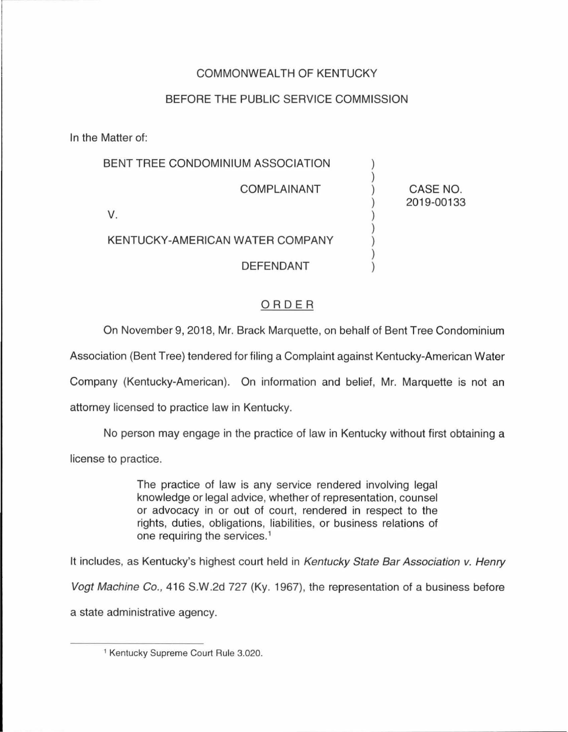## COMMONWEALTH OF KENTUCKY

## BEFORE THE PUBLIC SERVICE COMMISSION

In the Matter of:

| BENT TREE CONDOMINIUM ASSOCIATION |                        |
|-----------------------------------|------------------------|
| <b>COMPLAINANT</b>                | CASE NO.<br>2019-00133 |
|                                   |                        |
| KENTUCKY-AMERICAN WATER COMPANY   |                        |
| <b>DEFENDANT</b>                  |                        |

## ORDER

On November 9, 2018, Mr. Brack Marquette, on behalf of Bent Tree Condominium

Association (Bent Tree) tendered for filing a Complaint against Kentucky-American Water

Company (Kentucky-American). On information and belief, Mr. Marquette is not an

attorney licensed to practice law in Kentucky.

No person may engage in the practice of law in Kentucky without first obtaining a license to practice.

> The practice of law is any service rendered involving legal knowledge or legal advice, whether of representation, counsel or advocacy in or out of court, rendered in respect to the rights, duties, obligations, liabilities, or business relations of one requiring the services.<sup>1</sup>

It includes, as Kentucky's highest court held in Kentucky State Bar Association v. Henry

Vogt Machine Co., 416 S.W .2d 727 (Ky. 1967), the representation of a business before a state administrative agency.

<sup>1</sup> Kentucky Supreme Court Rule 3.020.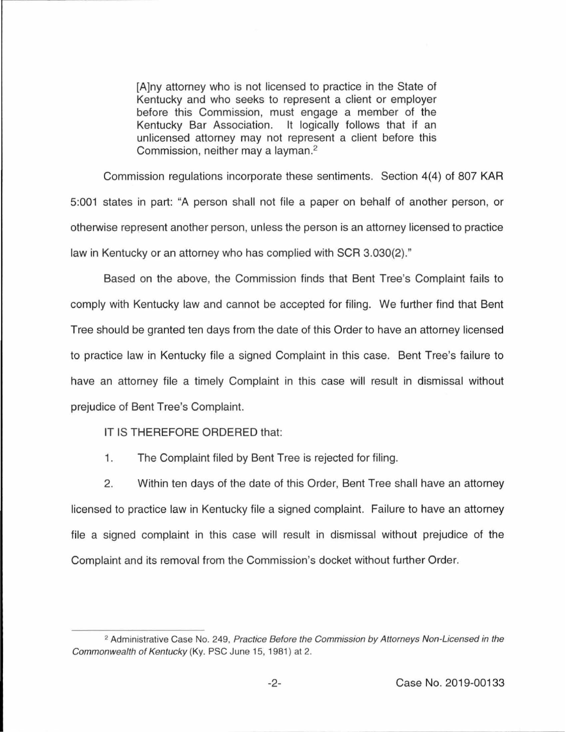[A]ny attorney who is not licensed to practice in the State of Kentucky and who seeks to represent a client or employer before this Commission, must engage a member of the Kentucky Bar Association. It logically follows that if an unlicensed attorney may not represent a client before this Commission, neither may a layman. 2

Commission regulations incorporate these sentiments. Section 4(4) of 807 KAR 5:001 states in part: "A person shall not file a paper on behalf of another person, or otherwise represent another person, unless the person is an attorney licensed to practice law in Kentucky or an attorney who has complied with SCR 3.030(2)."

Based on the above, the Commission finds that Bent Tree's Complaint fails to comply with Kentucky law and cannot be accepted for filing. We further find that Bent Tree should be granted ten days from the date of this Order to have an attorney licensed to practice law in Kentucky file a signed Complaint in this case. Bent Tree's failure to have an attorney file a timely Complaint in this case will result in dismissal without prejudice of Bent Tree's Complaint.

IT IS THEREFORE ORDERED that:

1. The Complaint filed by Bent Tree is rejected for filing.

2. Within ten days of the date of this Order, Bent Tree shall have an attorney licensed to practice law in Kentucky file a signed complaint. Failure to have an attorney file a signed complaint in this case will result in dismissal without prejudice of the Complaint and its removal from the Commission's docket without further Order.

<sup>&</sup>lt;sup>2</sup> Administrative Case No. 249, Practice Before the Commission by Attorneys Non-Licensed in the Commonwealth of Kentucky (Ky. PSC June 15, 1981) at 2.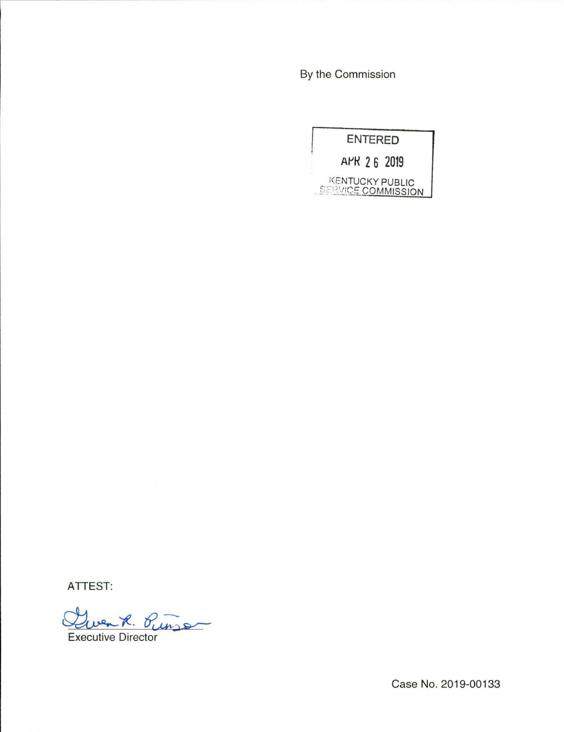By the Commission

|                                                     | <b>ENTERED</b> |
|-----------------------------------------------------|----------------|
|                                                     | APR 26 2019    |
| <b>KENTUCKY PUBLIC</b><br><b>SERVICE COMMISSION</b> |                |

ATTEST:

Quenk. Ourse

Executive Director

Case No. 2019-00133